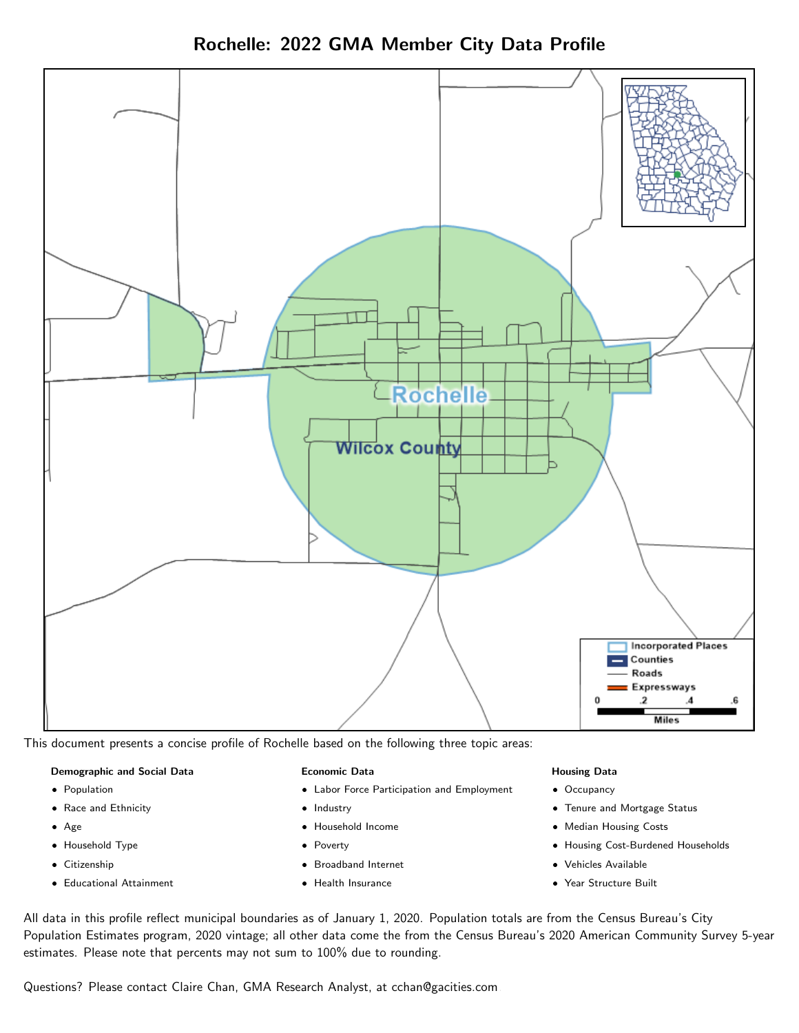Rochelle: 2022 GMA Member City Data Profile



This document presents a concise profile of Rochelle based on the following three topic areas:

#### Demographic and Social Data

- **•** Population
- Race and Ethnicity
- Age
- Household Type
- **Citizenship**
- Educational Attainment

#### Economic Data

- Labor Force Participation and Employment
- Industry
- Household Income
- Poverty
- Broadband Internet
- Health Insurance

#### Housing Data

- Occupancy
- Tenure and Mortgage Status
- Median Housing Costs
- Housing Cost-Burdened Households
- Vehicles Available
- Year Structure Built

All data in this profile reflect municipal boundaries as of January 1, 2020. Population totals are from the Census Bureau's City Population Estimates program, 2020 vintage; all other data come the from the Census Bureau's 2020 American Community Survey 5-year estimates. Please note that percents may not sum to 100% due to rounding.

Questions? Please contact Claire Chan, GMA Research Analyst, at [cchan@gacities.com.](mailto:cchan@gacities.com)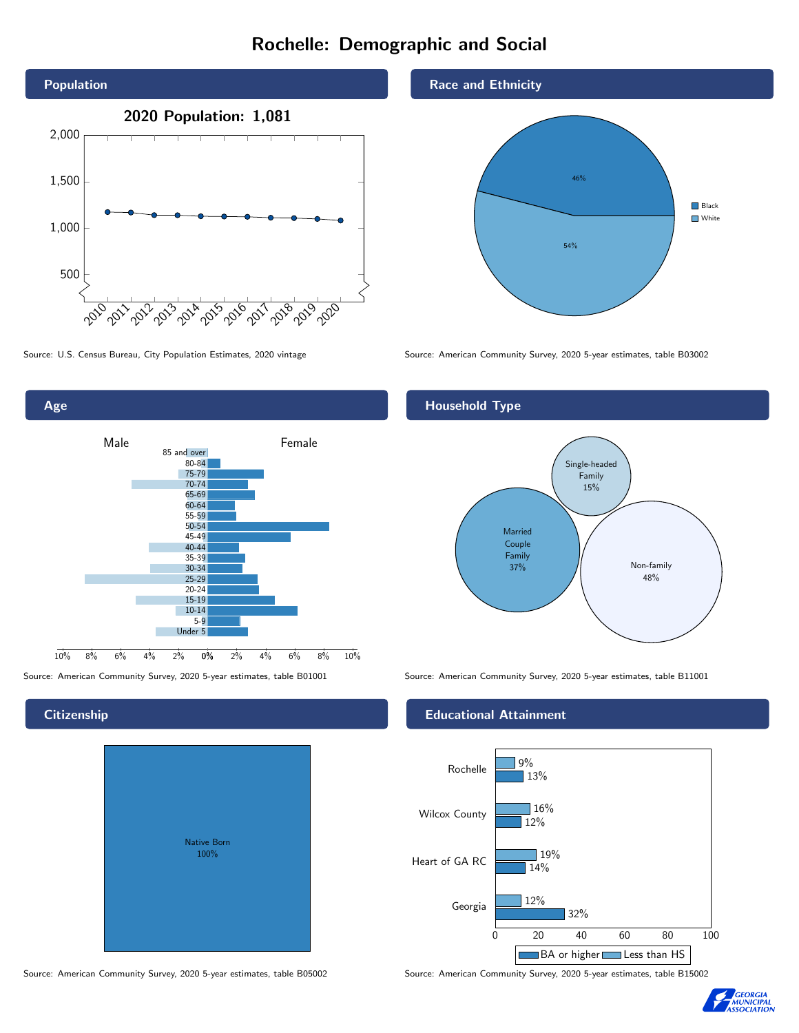# Rochelle: Demographic and Social



0% 2% 4% 6% 8% 10% Male and **Example 18** Female 10% 8% 6% 4% 2% 85 and over 80-84 75-79 70-74 65-69 60-64 55-59 50-54 45-49 40-44 35-39 30-34 25-29 20-24 15-19 10-14 5-9 Under 5

### **Citizenship**

Age

|  | <b>Native Born</b><br>100% |  |
|--|----------------------------|--|
|  |                            |  |

Race and Ethnicity



Source: U.S. Census Bureau, City Population Estimates, 2020 vintage Source: American Community Survey, 2020 5-year estimates, table B03002

## Household Type



Source: American Community Survey, 2020 5-year estimates, table B01001 Source: American Community Survey, 2020 5-year estimates, table B11001

#### Educational Attainment





Source: American Community Survey, 2020 5-year estimates, table B05002 Source: American Community Survey, 2020 5-year estimates, table B15002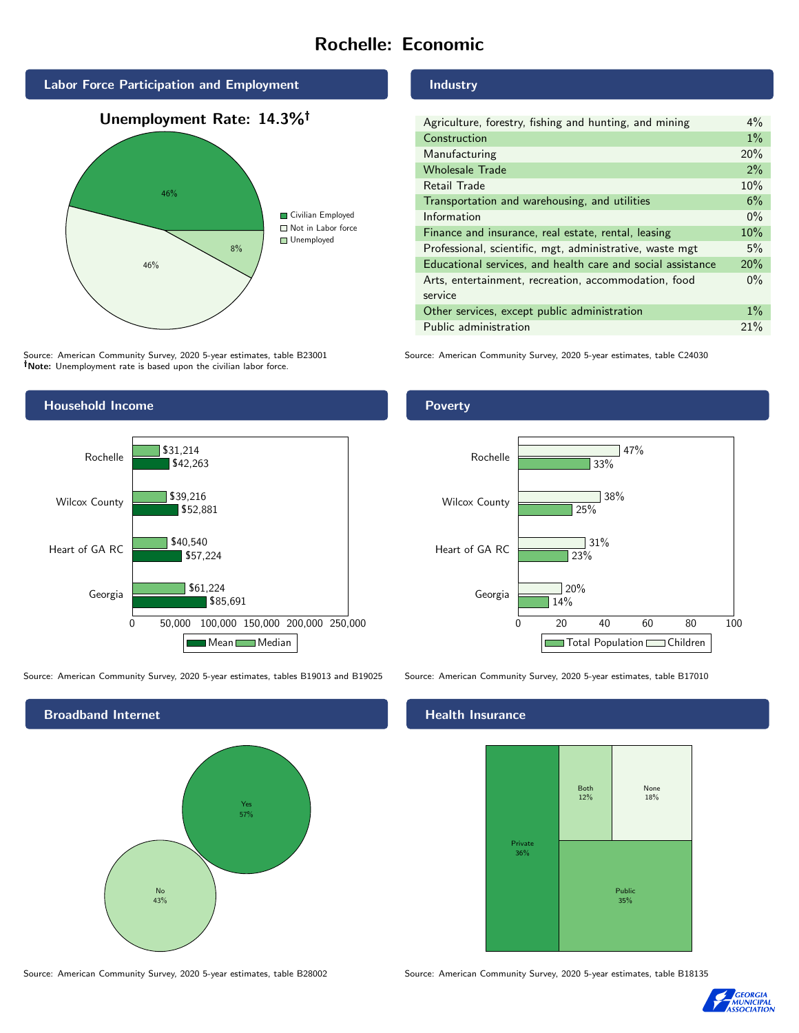# Rochelle: Economic



Source: American Community Survey, 2020 5-year estimates, table B23001 Note: Unemployment rate is based upon the civilian labor force.

## Industry

| Agriculture, forestry, fishing and hunting, and mining      |       |  |
|-------------------------------------------------------------|-------|--|
| Construction                                                |       |  |
| Manufacturing                                               | 20%   |  |
| <b>Wholesale Trade</b>                                      | 2%    |  |
| Retail Trade                                                | 10%   |  |
| Transportation and warehousing, and utilities               |       |  |
| Information                                                 | $0\%$ |  |
| Finance and insurance, real estate, rental, leasing         |       |  |
| Professional, scientific, mgt, administrative, waste mgt    |       |  |
| Educational services, and health care and social assistance |       |  |
| Arts, entertainment, recreation, accommodation, food        |       |  |
| service                                                     |       |  |
| Other services, except public administration                |       |  |
| Public administration                                       |       |  |

Source: American Community Survey, 2020 5-year estimates, table C24030



Source: American Community Survey, 2020 5-year estimates, tables B19013 and B19025 Source: American Community Survey, 2020 5-year estimates, table B17010



Source: American Community Survey, 2020 5-year estimates, table B28002 Source: American Community Survey, 2020 5-year estimates, table B18135

Poverty



## **Health Insurance**